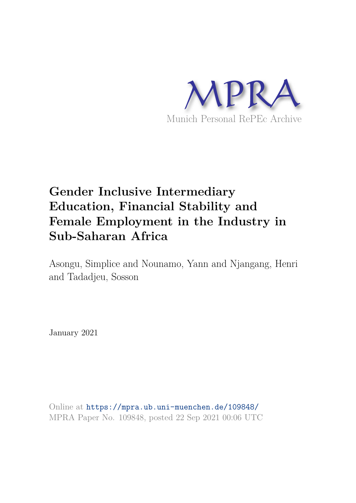

## **Gender Inclusive Intermediary Education, Financial Stability and Female Employment in the Industry in Sub-Saharan Africa**

Asongu, Simplice and Nounamo, Yann and Njangang, Henri and Tadadjeu, Sosson

January 2021

Online at https://mpra.ub.uni-muenchen.de/109848/ MPRA Paper No. 109848, posted 22 Sep 2021 00:06 UTC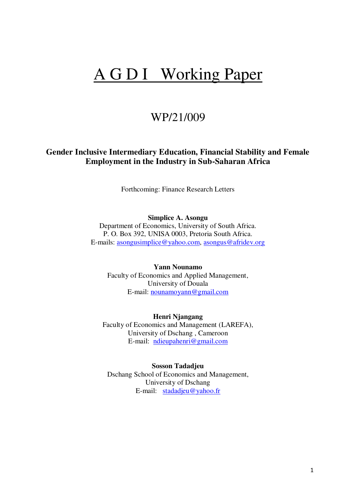# A G D I Working Paper

### WP/21/009

### **Gender Inclusive Intermediary Education, Financial Stability and Female Employment in the Industry in Sub-Saharan Africa**

Forthcoming: Finance Research Letters

**Simplice A. Asongu** 

Department of Economics, University of South Africa. P. O. Box 392, UNISA 0003, Pretoria South Africa. E-mails: [asongusimplice@yahoo.com,](mailto:asongusimplice@yahoo.com) [asongus@afridev.org](mailto:asongus@afridev.org)

**Yann Nounamo**  Faculty of Economics and Applied Management, University of Douala E-mail: [nounamoyann@gmail.com](mailto:nounamoyann@gmail.com)

**Henri Njangang**  Faculty of Economics and Management (LAREFA), University of Dschang , Cameroon E-mail: [ndieupahenri@gmail.com](mailto:ndieupahenri@gmail.com)

**Sosson Tadadjeu** Dschang School of Economics and Management, University of Dschang E-mail: [stadadjeu@yahoo.fr](mailto:stadadjeu@yahoo.fr)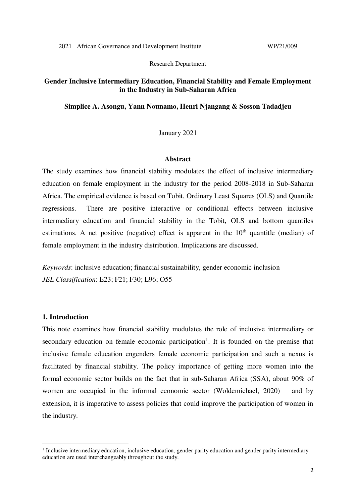Research Department

#### **Gender Inclusive Intermediary Education, Financial Stability and Female Employment in the Industry in Sub-Saharan Africa**

#### **Simplice A. Asongu, Yann Nounamo, Henri Njangang & Sosson Tadadjeu**

#### January 2021

#### **Abstract**

The study examines how financial stability modulates the effect of inclusive intermediary education on female employment in the industry for the period 2008-2018 in Sub-Saharan Africa. The empirical evidence is based on Tobit, Ordinary Least Squares (OLS) and Quantile regressions. There are positive interactive or conditional effects between inclusive intermediary education and financial stability in the Tobit, OLS and bottom quantiles estimations. A net positive (negative) effect is apparent in the  $10<sup>th</sup>$  quantitle (median) of female employment in the industry distribution. Implications are discussed.

*Keywords*: inclusive education; financial sustainability, gender economic inclusion *JEL Classification*: E23; F21; F30; L96; O55

#### **1. Introduction**

<u>.</u>

This note examines how financial stability modulates the role of inclusive intermediary or secondary education on female economic participation<sup>1</sup>. It is founded on the premise that inclusive female education engenders female economic participation and such a nexus is facilitated by financial stability. The policy importance of getting more women into the formal economic sector builds on the fact that in sub-Saharan Africa (SSA), about 90% of women are occupied in the informal economic sector (Woldemichael, 2020) and by extension, it is imperative to assess policies that could improve the participation of women in the industry.

<sup>&</sup>lt;sup>1</sup> Inclusive intermediary education, inclusive education, gender parity education and gender parity intermediary education are used interchangeably throughout the study.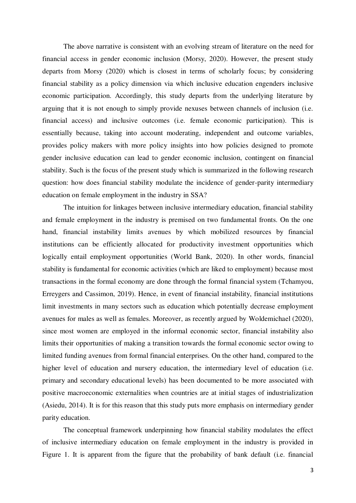The above narrative is consistent with an evolving stream of literature on the need for financial access in gender economic inclusion (Morsy, 2020). However, the present study departs from Morsy (2020) which is closest in terms of scholarly focus; by considering financial stability as a policy dimension via which inclusive education engenders inclusive economic participation. Accordingly, this study departs from the underlying literature by arguing that it is not enough to simply provide nexuses between channels of inclusion (i.e. financial access) and inclusive outcomes (i.e. female economic participation). This is essentially because, taking into account moderating, independent and outcome variables, provides policy makers with more policy insights into how policies designed to promote gender inclusive education can lead to gender economic inclusion, contingent on financial stability. Such is the focus of the present study which is summarized in the following research question: how does financial stability modulate the incidence of gender-parity intermediary education on female employment in the industry in SSA?

The intuition for linkages between inclusive intermediary education, financial stability and female employment in the industry is premised on two fundamental fronts. On the one hand, financial instability limits avenues by which mobilized resources by financial institutions can be efficiently allocated for productivity investment opportunities which logically entail employment opportunities (World Bank, 2020). In other words, financial stability is fundamental for economic activities (which are liked to employment) because most transactions in the formal economy are done through the formal financial system (Tchamyou, Erreygers and Cassimon, 2019). Hence, in event of financial instability, financial institutions limit investments in many sectors such as education which potentially decrease employment avenues for males as well as females. Moreover, as recently argued by Woldemichael (2020), since most women are employed in the informal economic sector, financial instability also limits their opportunities of making a transition towards the formal economic sector owing to limited funding avenues from formal financial enterprises. On the other hand, compared to the higher level of education and nursery education, the intermediary level of education (i.e. primary and secondary educational levels) has been documented to be more associated with positive macroeconomic externalities when countries are at initial stages of industrialization (Asiedu, 2014). It is for this reason that this study puts more emphasis on intermediary gender parity education.

The conceptual framework underpinning how financial stability modulates the effect of inclusive intermediary education on female employment in the industry is provided in Figure 1. It is apparent from the figure that the probability of bank default (i.e. financial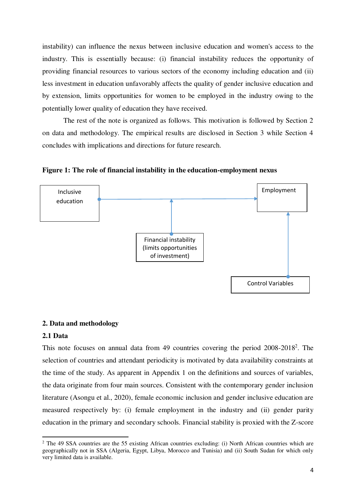instability) can influence the nexus between inclusive education and women's access to the industry. This is essentially because: (i) financial instability reduces the opportunity of providing financial resources to various sectors of the economy including education and (ii) less investment in education unfavorably affects the quality of gender inclusive education and by extension, limits opportunities for women to be employed in the industry owing to the potentially lower quality of education they have received.

 The rest of the note is organized as follows. This motivation is followed by Section 2 on data and methodology. The empirical results are disclosed in Section 3 while Section 4 concludes with implications and directions for future research.

**Figure 1: The role of financial instability in the education-employment nexus** 



#### **2. Data and methodology**

#### **2.1 Data**

<u>.</u>

This note focuses on annual data from 49 countries covering the period  $2008-2018^2$ . The selection of countries and attendant periodicity is motivated by data availability constraints at the time of the study. As apparent in Appendix 1 on the definitions and sources of variables, the data originate from four main sources. Consistent with the contemporary gender inclusion literature (Asongu et al., 2020), female economic inclusion and gender inclusive education are measured respectively by: (i) female employment in the industry and (ii) gender parity education in the primary and secondary schools. Financial stability is proxied with the Z-score

<sup>&</sup>lt;sup>2</sup> The 49 SSA countries are the 55 existing African countries excluding: (i) North African countries which are geographically not in SSA (Algeria, Egypt, Libya, Morocco and Tunisia) and (ii) South Sudan for which only very limited data is available.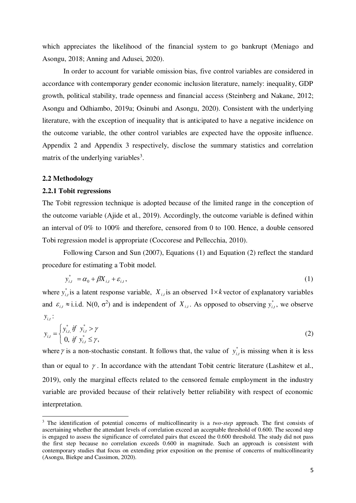which appreciates the likelihood of the financial system to go bankrupt (Meniago and Asongu, 2018; Anning and Adusei, 2020).

 In order to account for variable omission bias, five control variables are considered in accordance with contemporary gender economic inclusion literature, namely: inequality, GDP growth, political stability, trade openness and financial access (Steinberg and Nakane, 2012; Asongu and Odhiambo, 2019a; Osinubi and Asongu, 2020). Consistent with the underlying literature, with the exception of inequality that is anticipated to have a negative incidence on the outcome variable, the other control variables are expected have the opposite influence. Appendix 2 and Appendix 3 respectively, disclose the summary statistics and correlation matrix of the underlying variables<sup>3</sup>.

#### **2.2 Methodology**

<u>.</u>

#### **2.2.1 Tobit regressions**

The Tobit regression technique is adopted because of the limited range in the conception of the outcome variable (Ajide et al., 2019). Accordingly, the outcome variable is defined within an interval of 0% to 100% and therefore, censored from 0 to 100. Hence, a double censored Tobi regression model is appropriate (Coccorese and Pellecchia, 2010).

 Following Carson and Sun (2007), Equations (1) and Equation (2) reflect the standard procedure for estimating a Tobit model.

$$
y_{i,t}^* = \alpha_0 + \beta X_{i,t} + \varepsilon_{i,t},\tag{1}
$$

where  $y_{i,t}^*$  is a latent response variable,  $X_{i,t}$  is an observed  $1 \times k$  vector of explanatory variables and  $\varepsilon_{i,t} \approx$  i.i.d. N(0,  $\sigma^2$ ) and is independent of  $X_{i,t}$ . As opposed to observing  $y_{i,t}^*$ , we observe  $y_{i,t}$ :

$$
y_{i,t} = \begin{cases} y_{i,t}^* & \text{if } y_{i,t}^* > \gamma \\ 0, & \text{if } y_{i,t}^* \le \gamma, \end{cases} \tag{2}
$$

where  $\gamma$  is a non-stochastic constant. It follows that, the value of  $y_{i,t}^*$  is missing when it is less than or equal to  $\gamma$ . In accordance with the attendant Tobit centric literature (Lashitew et al., 2019), only the marginal effects related to the censored female employment in the industry variable are provided because of their relatively better reliability with respect of economic interpretation.

<sup>&</sup>lt;sup>3</sup> The identification of potential concerns of multicollinearity is a *two-step* approach. The first consists of ascertaining whether the attendant levels of correlation exceed an acceptable threshold of 0.600. The second step is engaged to assess the significance of correlated pairs that exceed the 0.600 threshold. The study did not pass the first step because no correlation exceeds 0.600 in magnitude. Such an approach is consistent with contemporary studies that focus on extending prior exposition on the premise of concerns of multicollinearity (Asongu, Biekpe and Cassimon, 2020).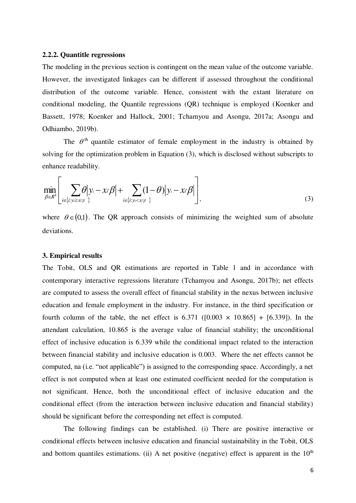#### **2.2.2. Quantitle regressions**

The modeling in the previous section is contingent on the mean value of the outcome variable. However, the investigated linkages can be different if assessed throughout the conditional distribution of the outcome variable. Hence, consistent with the extant literature on conditional modeling, the Quantile regressions (QR) technique is employed (Koenker and Bassett, 1978; Koenker and Hallock, 2001; Tchamyou and Asongu, 2017a; Asongu and Odhiambo, 2019b).

The  $\theta$ <sup>th</sup> quantile estimator of female employment in the industry is obtained by solving for the optimization problem in Equation (3), which is disclosed without subscripts to enhance readability.

$$
\min_{\beta \in R^k} \left[ \sum_{i \in \{i: y_i \geq x \mid \beta\}} \theta \middle| y_i - x_i \beta \middle| + \sum_{i \in \{i: y_i < x \mid \beta\}} (1 - \theta) \middle| y_i - x_i \beta \right],\tag{3}
$$

where  $\theta \in (0,1)$ . The QR approach consists of minimizing the weighted sum of absolute deviations.

#### **3. Empirical results**

The Tobit, OLS and QR estimations are reported in Table 1 and in accordance with contemporary interactive regressions literature (Tchamyou and Asongu, 2017b); net effects are computed to assess the overall effect of financial stability in the nexus between inclusive education and female employment in the industry. For instance, in the third specification or fourth column of the table, the net effect is  $6.371$  ( $[0.003 \times 10.865] + [6.339]$ ). In the attendant calculation, 10.865 is the average value of financial stability; the unconditional effect of inclusive education is 6.339 while the conditional impact related to the interaction between financial stability and inclusive education is 0.003. Where the net effects cannot be computed, na (i.e. "not applicable") is assigned to the corresponding space. Accordingly, a net effect is not computed when at least one estimated coefficient needed for the computation is not significant. Hence, both the unconditional effect of inclusive education and the conditional effect (from the interaction between inclusive education and financial stability) should be significant before the corresponding net effect is computed.

The following findings can be established. (i) There are positive interactive or conditional effects between inclusive education and financial sustainability in the Tobit, OLS and bottom quantiles estimations. (ii) A net positive (negative) effect is apparent in the  $10<sup>th</sup>$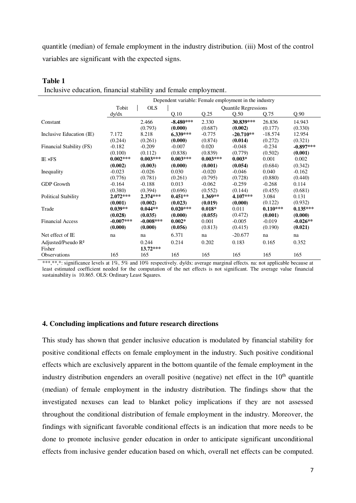quantitle (median) of female employment in the industry distribution. (iii) Most of the control variables are significant with the expected signs.

| mensive equeation, miancial stability and lemale employment. |             |             |                                                       |            |             |            |             |  |
|--------------------------------------------------------------|-------------|-------------|-------------------------------------------------------|------------|-------------|------------|-------------|--|
|                                                              |             |             | Dependent variable: Female employment in the industry |            |             |            |             |  |
|                                                              | Tobit       | <b>OLS</b>  | <b>Quantile Regressions</b>                           |            |             |            |             |  |
|                                                              | dy/dx       |             | Q.10                                                  | Q.25       | Q.50        | Q.75       | Q.90        |  |
| Constant                                                     |             | 2.466       | $-8.480***$                                           | 2.330      | 30.839***   | 26.836     | 14.943      |  |
|                                                              |             | (0.793)     | (0.000)                                               | (0.687)    | (0.002)     | (0.177)    | (0.330)     |  |
| Inclusive Education (IE)                                     | 7.172       | 8.218       | $6.339***$                                            | $-0.775$   | $-20.710**$ | $-18.574$  | 12.954      |  |
|                                                              | (0.244)     | (0.261)     | (0.000)                                               | (0.874)    | (0.014)     | (0.272)    | (0.321)     |  |
| Financial Stability (FS)                                     | $-0.182$    | $-0.209$    | $-0.007$                                              | 0.020      | $-0.048$    | $-0.234$   | $-0.897***$ |  |
|                                                              | (0.100)     | (0.112)     | (0.838)                                               | (0.839)    | (0.779)     | (0.502)    | (0.001)     |  |
| <b>IE</b> ×FS                                                | $0.002***$  | $0.003***$  | $0.003***$                                            | $0.003***$ | $0.003*$    | 0.001      | 0.002       |  |
|                                                              | (0.002)     | (0.003)     | (0.000)                                               | (0.001)    | (0.054)     | (0.684)    | (0.342)     |  |
| Inequality                                                   | $-0.023$    | $-0.026$    | 0.030                                                 | $-0.020$   | $-0.046$    | 0.040      | $-0.162$    |  |
|                                                              | (0.776)     | (0.781)     | (0.261)                                               | (0.795)    | (0.728)     | (0.880)    | (0.440)     |  |
| <b>GDP</b> Growth                                            | $-0.164$    | $-0.188$    | 0.013                                                 | $-0.062$   | $-0.259$    | $-0.268$   | 0.114       |  |
|                                                              | (0.380)     | (0.394)     | (0.696)                                               | (0.552)    | (0.144)     | (0.455)    | (0.681)     |  |
| <b>Political Stability</b>                                   | $2.072***$  | $2.374***$  | $0.451**$                                             | $1.369**$  | $4.107***$  | 3.084      | 0.131       |  |
|                                                              | (0.001)     | (0.002)     | (0.023)                                               | (0.019)    | (0.000)     | (0.122)    | (0.932)     |  |
| Trade                                                        | $0.039**$   | $0.044**$   | $0.020***$                                            | $0.018*$   | 0.011       | $0.110***$ | $0.135***$  |  |
|                                                              | (0.028)     | (0.035)     | (0.000)                                               | (0.055)    | (0.472)     | (0.001)    | (0.000)     |  |
| <b>Financial Access</b>                                      | $-0.007***$ | $-0.008***$ | $0.002*$                                              | 0.001      | $-0.005$    | $-0.019$   | $-0.026**$  |  |
|                                                              | (0.000)     | (0.000)     | (0.056)                                               | (0.813)    | (0.415)     | (0.190)    | (0.021)     |  |
| Net effect of IE                                             | na          | na          | 6.371                                                 | na         | $-20.677$   | na         | na          |  |
| Adjusted/Pseudo R <sup>2</sup>                               |             | 0.244       | 0.214                                                 | 0.202      | 0.183       | 0.165      | 0.352       |  |
| Fisher                                                       |             | $13.72***$  |                                                       |            |             |            |             |  |
| <b>Observations</b>                                          | 165         | 165         | 165                                                   | 165        | 165         | 165        | 165         |  |

#### **Table 1**

Inclusive education, financial stability and female employment.

\*\*\*,\*\*. significance levels at 1%, 5% and 10% respectively. dy/dx: average marginal effects. na: not applicable because at least estimated coefficient needed for the computation of the net effects is not significant. The average value financial sustainability is 10.865. OLS: Ordinary Least Squares.

#### **4. Concluding implications and future research directions**

This study has shown that gender inclusive education is modulated by financial stability for positive conditional effects on female employment in the industry. Such positive conditional effects which are exclusively apparent in the bottom quantile of the female employment in the industry distribution engenders an overall positive (negative) net effect in the  $10<sup>th</sup>$  quantitle (median) of female employment in the industry distribution. The findings show that the investigated nexuses can lead to blanket policy implications if they are not assessed throughout the conditional distribution of female employment in the industry. Moreover, the findings with significant favorable conditional effects is an indication that more needs to be done to promote inclusive gender education in order to anticipate significant unconditional effects from inclusive gender education based on which, overall net effects can be computed.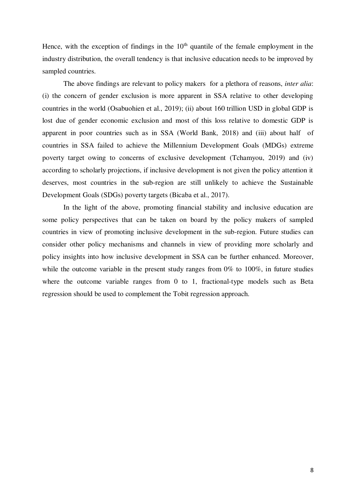Hence, with the exception of findings in the  $10<sup>th</sup>$  quantile of the female employment in the industry distribution, the overall tendency is that inclusive education needs to be improved by sampled countries.

 The above findings are relevant to policy makers for a plethora of reasons, *inter alia*: (i) the concern of gender exclusion is more apparent in SSA relative to other developing countries in the world (Osabuohien et al., 2019); (ii) about 160 trillion USD in global GDP is lost due of gender economic exclusion and most of this loss relative to domestic GDP is apparent in poor countries such as in SSA (World Bank, 2018) and (iii) about half of countries in SSA failed to achieve the Millennium Development Goals (MDGs) extreme poverty target owing to concerns of exclusive development (Tchamyou, 2019) and (iv) according to scholarly projections, if inclusive development is not given the policy attention it deserves, most countries in the sub-region are still unlikely to achieve the Sustainable Development Goals (SDGs) poverty targets (Bicaba et al., 2017).

In the light of the above, promoting financial stability and inclusive education are some policy perspectives that can be taken on board by the policy makers of sampled countries in view of promoting inclusive development in the sub-region. Future studies can consider other policy mechanisms and channels in view of providing more scholarly and policy insights into how inclusive development in SSA can be further enhanced. Moreover, while the outcome variable in the present study ranges from 0% to 100%, in future studies where the outcome variable ranges from 0 to 1, fractional-type models such as Beta regression should be used to complement the Tobit regression approach.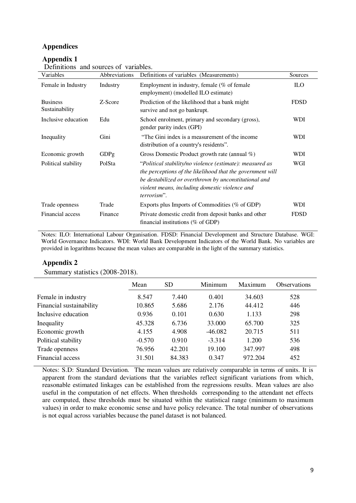#### **Appendices**

#### **Appendix 1**

| Variables                         | Abbreviations | Definitions of variables (Measurements)                                                                                                                                                                                                          | Sources     |
|-----------------------------------|---------------|--------------------------------------------------------------------------------------------------------------------------------------------------------------------------------------------------------------------------------------------------|-------------|
| Female in Industry                | Industry      | Employment in industry, female ( $%$ of female<br>employment) (modelled ILO estimate)                                                                                                                                                            | <b>ILO</b>  |
| <b>Business</b><br>Sustainability | Z-Score       | Prediction of the likelihood that a bank might<br>survive and not go bankrupt.                                                                                                                                                                   | <b>FDSD</b> |
| Inclusive education               | Edu           | School enrolment, primary and secondary (gross),<br>gender parity index (GPI)                                                                                                                                                                    | WDI         |
| Inequality                        | Gini          | "The Gini index is a measurement of the income"<br>distribution of a country's residents".                                                                                                                                                       | WDI         |
| Economic growth                   | GDPg          | Gross Domestic Product growth rate (annual %)                                                                                                                                                                                                    | WDI         |
| Political stability               | PolSta        | "Political stability/no violence (estimate): measured as<br>the perceptions of the likelihood that the government will<br>be destabilized or overthrown by unconstitutional and<br>violent means, including domestic violence and<br>terrorism". | WGI         |
| Trade openness                    | Trade         | Exports plus Imports of Commodities (% of GDP)                                                                                                                                                                                                   | WDI         |
| Financial access                  | Finance       | Private domestic credit from deposit banks and other<br>financial institutions ( $%$ of GDP)                                                                                                                                                     | <b>FDSD</b> |

Definitions and sources of variables.

Notes: ILO: International Labour Organisation. FDSD: Financial Development and Structure Database. WGI: World Governance Indicators. WDI: World Bank Development Indicators of the World Bank. No variables are provided in logarithms because the mean values are comparable in the light of the summary statistics.

#### **Appendix 2**

Summary statistics (2008-2018).

|                          | Mean     | <b>SD</b> | Minimum   | Maximum | <b>Observations</b> |  |
|--------------------------|----------|-----------|-----------|---------|---------------------|--|
| Female in industry       | 8.547    | 7.440     | 0.401     | 34.603  | 528                 |  |
| Financial sustainability | 10.865   | 5.686     | 2.176     | 44.412  | 446                 |  |
| Inclusive education      | 0.936    | 0.101     | 0.630     | 1.133   | 298                 |  |
| Inequality               | 45.328   | 6.736     | 33.000    | 65.700  | 325                 |  |
| Economic growth          | 4.155    | 4.908     | $-46.082$ | 20.715  | 511                 |  |
| Political stability      | $-0.570$ | 0.910     | $-3.314$  | 1.200   | 536                 |  |
| Trade openness           | 76.956   | 42.201    | 19.100    | 347.997 | 498                 |  |
| Financial access         | 31.501   | 84.383    | 0.347     | 972.204 | 452                 |  |

Notes: S.D: Standard Deviation. The mean values are relatively comparable in terms of units. It is apparent from the standard deviations that the variables reflect significant variations from which, reasonable estimated linkages can be established from the regressions results. Mean values are also useful in the computation of net effects. When thresholds corresponding to the attendant net effects are computed, these thresholds must be situated within the statistical range (minimum to maximum values) in order to make economic sense and have policy relevance. The total number of observations is not equal across variables because the panel dataset is not balanced.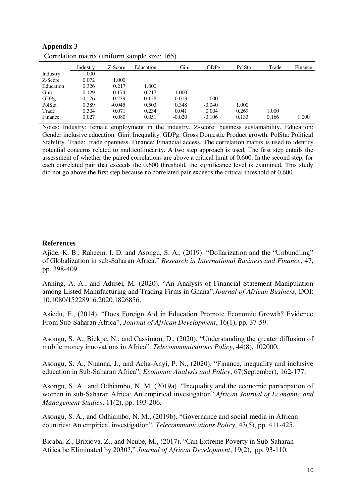| Industry | Z-Score  | Education | Gini     | GDPg     | PolSta | Trade | Finance |
|----------|----------|-----------|----------|----------|--------|-------|---------|
| 1.000    |          |           |          |          |        |       |         |
| 0.072    | 1.000    |           |          |          |        |       |         |
| 0.326    | 0.217    | 1.000     |          |          |        |       |         |
| 0.129    | $-0.174$ | 0.217     | 1.000    |          |        |       |         |
| $-0.126$ | $-0.239$ | $-0.128$  | $-0.013$ | 1.000    |        |       |         |
| 0.389    | $-0.045$ | 0.503     | 0.348    | $-0.040$ | 1.000  |       |         |
| 0.304    | 0.071    | 0.234     | 0.041    | 0.004    | 0.269  | 1.000 |         |
| 0.027    | 0.080    | 0.051     | $-0.020$ | $-0.106$ | 0.133  | 0.166 | 1.000   |
|          |          |           |          |          |        |       |         |

| Appendix 3                                     |  |
|------------------------------------------------|--|
| Correlation matrix (uniform sample size: 165). |  |

Notes: Industry: female employment in the industry. Z-score: business sustainability. Education: Gender inclusive education. Gini: Inequality. GDPg: Gross Domestic Product growth. PolSta: Political Stability. Trade: trade openness. Finance: Financial access. The correlation matrix is used to identify potential concerns related to multicollinearity. A two step approach is used. The first step entails the assessment of whether the paired correlations are above a critical limit of 0.600. In the second step, for each correlated pair that exceeds the 0.600 threshold, the significance level is examined. This study did not go above the first step because no correlated pair exceeds the critical threshold of 0.600.

#### **References**

Ajide, K. B., Raheem, I. D. and Asongu, S. A., (2019). "Dollarization and the "Unbundling" of Globalization in sub-Saharan Africa." *Research in International Business and Finance*, 47, pp. 398-409.

Anning, A. A., and Adusei, M. (2020). "An Analysis of Financial Statement Manipulation among Listed Manufacturing and Trading Firms in Ghana".*Journal of African Business*, DOI: 10.1080/15228916.2020.1826856.

Asiedu, E., (2014). "Does Foreign Aid in Education Promote Economic Growth? Evidence From Sub-Saharan Africa", *Journal of African Development*, 16(1), pp. 37-59.

Asongu, S. A., Biekpe, N., and Cassimon, D., (2020). "Understanding the greater diffusion of mobile money innovations in Africa". *Telecommunications Policy*, 44(8), 102000.

Asongu, S. A., Nnanna, J., and Acha-Anyi, P. N., (2020). "Finance, inequality and inclusive education in Sub-Saharan Africa", *Economic Analysis and Policy*, 67(September), 162-177.

Asongu, S. A., and Odhiambo, N. M. (2019a). "Inequality and the economic participation of women in sub-Saharan Africa: An empirical investigation".*African Journal of Economic and Management Studies*, 11(2), pp. 193-206.

Asongu, S. A., and Odhiambo, N. M., (2019b). "Governance and social media in African countries: An empirical investigation". *Telecommunications Policy*, 43(5), pp. 411-425.

Bicaba, Z., Brixiova, Z., and Ncube, M., (2017). "Can Extreme Poverty in Sub-Saharan Africa be Eliminated by 2030?," *Journal of African Development*, 19(2), pp. 93-110.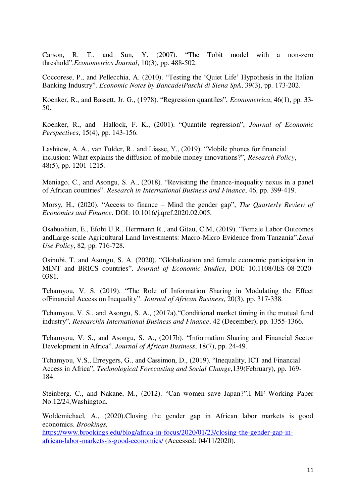Carson, R. T., and Sun, Y. (2007). "The Tobit model with a non-zero threshold".*Econometrics Journal*, 10(3), pp. 488-502.

Coccorese, P., and Pellecchia, A. (2010). "Testing the 'Quiet Life' Hypothesis in the Italian Banking Industry". *Economic Notes by BancadeiPaschi di Siena SpA*, 39(3), pp. 173-202.

Koenker, R., and Bassett, Jr. G., (1978). "Regression quantiles", *Econometrica*, 46(1), pp. 33- 50.

Koenker, R., and Hallock, F. K., (2001). "Quantile regression", *Journal of Economic Perspectives*, 15(4), pp. 143-156.

Lashitew, A. A., van Tulder, R., and Liasse, Y., (2019). "Mobile phones for financial inclusion: What explains the diffusion of mobile money innovations?", *Research Policy*, 48(5), pp. 1201-1215.

Meniago, C., and Asongu, S. A., (2018). "Revisiting the finance-inequality nexus in a panel of African countries". *Research in International Business and Finance*, 46, pp. 399-419.

Morsy, H., (2020). "Access to finance – Mind the gender gap", *The Quarterly Review of Economics and Finance*. DOI: 10.1016/j.qref.2020.02.005.

Osabuohien, E., Efobi U.R., Herrmann R., and Gitau, C.M, (2019). "Female Labor Outcomes andLarge-scale Agricultural Land Investments: Macro-Micro Evidence from Tanzania".*Land Use Policy*, 82*,* pp. 716-728.

Osinubi, T. and Asongu, S. A. (2020). "Globalization and female economic participation in MINT and BRICS countries". *Journal of Economic Studies*, DOI: 10.1108/JES-08-2020- 0381.

Tchamyou, V. S. (2019). "The Role of Information Sharing in Modulating the Effect ofFinancial Access on Inequality". *Journal of African Business*, 20(3), pp. 317-338.

Tchamyou, V. S., and Asongu, S. A., (2017a)."Conditional market timing in the mutual fund industry"*, Researchin International Business and Finance*, 42 (December), pp. 1355-1366.

Tchamyou, V. S., and Asongu, S. A., (2017b). "Information Sharing and Financial Sector Development in Africa". *Journal of African Business*, 18(7), pp. 24-49.

Tchamyou, V.S., Erreygers, G., and Cassimon, D., (2019). "Inequality, ICT and Financial Access in Africa", *Technological Forecasting and Social Change*,139(February), pp. 169- 184.

Steinberg. C., and Nakane, M., (2012). "Can women save Japan?".I MF Working Paper No.12/24,Washington.

Woldemichael, A., (2020).Closing the gender gap in African labor markets is good economics. *Brookings,*

[https://www.brookings.edu/blog/africa-in-focus/2020/01/23/closing-the-gender-gap-in](https://www.brookings.edu/blog/africa-in-focus/2020/01/23/closing-the-gender-gap-in-african-labor-markets-is-good-economics/)[african-labor-markets-is-good-economics/](https://www.brookings.edu/blog/africa-in-focus/2020/01/23/closing-the-gender-gap-in-african-labor-markets-is-good-economics/) (Accessed: 04/11/2020).